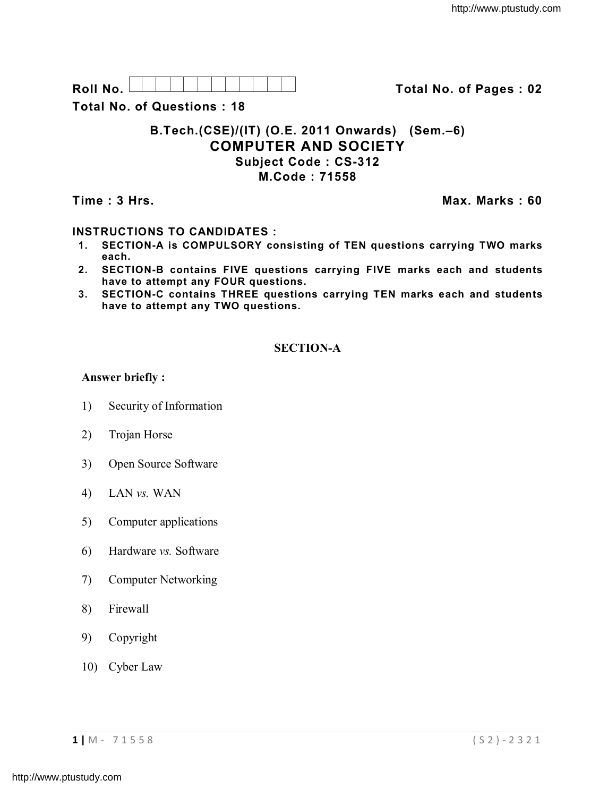Roll No. <u>And I And I Alexander Hermitide Collinson Total No.</u> of Pages : 02

**Total No. of Questions : 18**

# **B.Tech.(CSE)/(IT) (O.E. 2011 Onwards) (Sem.–6) COMPUTER AND SOCIETY Subject Code : CS-312 M.Code : 71558**

**Time : 3 Hrs.** Max. Marks : 60

## **INSTRUCTIONS TO CANDIDATES :**

- **1. SECTION-A is COMPULSORY consisting of TEN questions carrying TWO marks each.**
- **2. SECTION-B contains FIVE questions carrying FIVE marks each and students have to attempt any FOUR questions.**
- **3. SECTION-C contains THREE questions carrying TEN marks each and students have to attempt any TWO questions.**

## **SECTION-A**

## **Answer briefly :**

- 1) Security of Information
- 2) Trojan Horse
- 3) Open Source Software
- 4) LAN *vs.* WAN
- 5) Computer applications
- 6) Hardware *vs.* Software
- 7) Computer Networking
- 8) Firewall
- 9) Copyright
- 10) Cyber Law